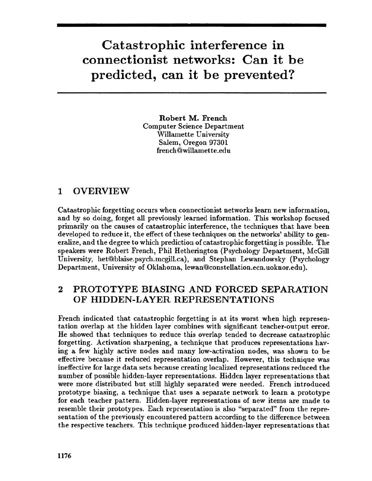# Catastrophic interference in connectionist networks: Can it be predicted, can it be prevented?

Robert M. French Computer Science Department Willamette University Salem, Oregon 97301 french@willamette.edu

#### 1 OVERVIEW

Catastrophic forgetting occurs when connectionist networks learn new information, and by so doing, forget all previously learned information. This workshop focused primarily on the causes of catastrophic interference, the techniques that have been developed to reduce it, the effect of these techniques on the networks' ability to generalize, and the degree to which prediction of catastrophic forgetting is possible. The speakers were Robert French, Phil Hetherington (Psychology Department, McGill University, het@blaise.psych.mcgill.ca), and Stephan Lewandowsky (Psychology Department, University of Oklahoma, lewan@constellation.ecn.uoknor.edu).

#### 2 PROTOTYPE BIASING AND FORCED SEPARATION OF HIDDEN-LAYER REPRESENTATIONS

French indicated that catastrophic forgetting is at its worst when high representation overlap at the hidden layer combines with significant teacher-output error. He showed that techniques to reduce this overlap tended to decrease catastrophic forgetting. Activation sharpening, a technique that produces representations having a few highly active nodes and many low-activation nodes, was shown to be effective because it reduced representation overlap. However, this technique was ineffective for large data sets because creating localized representations reduced the number of possible hidden-layer representations. Hidden layer representations that were more distributed but still highly separated were needed. French introduced prototype biasing, a technique that uses a separate network to learn a prototype for each teacher pattern. Hidden-layer representations of new items are made to resemble their prototypes. Each representation is also "separated" from the representation of the previously encountered pattern according to the difference between the respective teachers. This technique produced hidden-layer representations that